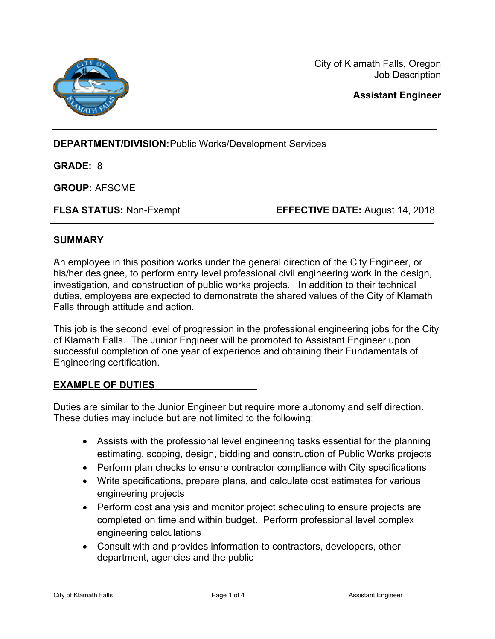

City of Klamath Falls, Oregon Job Description

**Assistant Engineer** 

**DEPARTMENT/DIVISION: Public Works/Development Services** 

**GRADE:** 8

**GROUP:** AFSCME

**FLSA STATUS:** Non-Exempt **EFFECTIVE DATE:** August 14, 2018

## **SUMMARY**

An employee in this position works under the general direction of the City Engineer, or his/her designee, to perform entry level professional civil engineering work in the design, investigation, and construction of public works projects. In addition to their technical duties, employees are expected to demonstrate the shared values of the City of Klamath Falls through attitude and action.

This job is the second level of progression in the professional engineering jobs for the City of Klamath Falls. The Junior Engineer will be promoted to Assistant Engineer upon successful completion of one year of experience and obtaining their Fundamentals of Engineering certification.

## **EXAMPLE OF DUTIES**

Duties are similar to the Junior Engineer but require more autonomy and self direction. These duties may include but are not limited to the following:

- Assists with the professional level engineering tasks essential for the planning estimating, scoping, design, bidding and construction of Public Works projects
- Perform plan checks to ensure contractor compliance with City specifications
- Write specifications, prepare plans, and calculate cost estimates for various engineering projects
- Perform cost analysis and monitor project scheduling to ensure projects are completed on time and within budget. Perform professional level complex engineering calculations
- Consult with and provides information to contractors, developers, other department, agencies and the public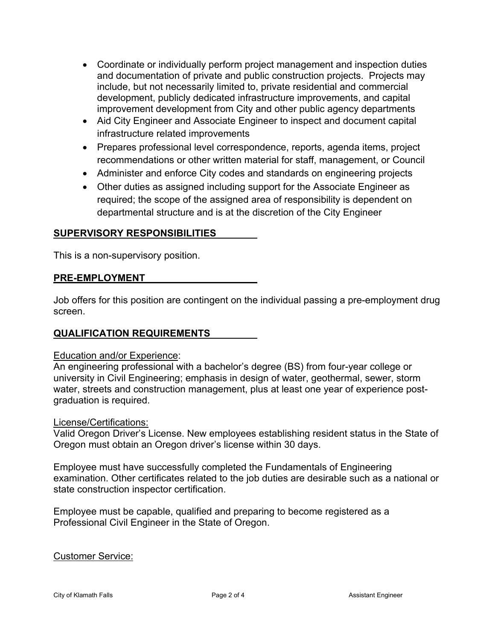- Coordinate or individually perform project management and inspection duties and documentation of private and public construction projects. Projects may include, but not necessarily limited to, private residential and commercial development, publicly dedicated infrastructure improvements, and capital improvement development from City and other public agency departments
- Aid City Engineer and Associate Engineer to inspect and document capital infrastructure related improvements
- Prepares professional level correspondence, reports, agenda items, project recommendations or other written material for staff, management, or Council
- Administer and enforce City codes and standards on engineering projects
- Other duties as assigned including support for the Associate Engineer as required; the scope of the assigned area of responsibility is dependent on departmental structure and is at the discretion of the City Engineer

## **SUPERVISORY RESPONSIBILITIES**

This is a non-supervisory position.

#### **PRE-EMPLOYMENT**

Job offers for this position are contingent on the individual passing a pre-employment drug screen.

## **QUALIFICATION REQUIREMENTS**

#### Education and/or Experience:

An engineering professional with a bachelor's degree (BS) from four-year college or university in Civil Engineering; emphasis in design of water, geothermal, sewer, storm water, streets and construction management, plus at least one year of experience postgraduation is required.

#### License/Certifications:

Valid Oregon Driver's License. New employees establishing resident status in the State of Oregon must obtain an Oregon driver's license within 30 days.

Employee must have successfully completed the Fundamentals of Engineering examination. Other certificates related to the job duties are desirable such as a national or state construction inspector certification.

Employee must be capable, qualified and preparing to become registered as a Professional Civil Engineer in the State of Oregon.

#### Customer Service: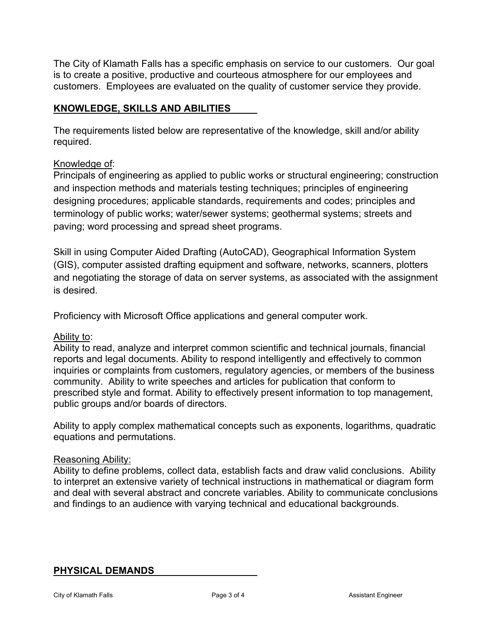The City of Klamath Falls has a specific emphasis on service to our customers. Our goal is to create a positive, productive and courteous atmosphere for our employees and customers. Employees are evaluated on the quality of customer service they provide.

# **KNOWLEDGE, SKILLS AND ABILITIES**

The requirements listed below are representative of the knowledge, skill and/or ability required.

# Knowledge of:

Principals of engineering as applied to public works or structural engineering; construction and inspection methods and materials testing techniques; principles of engineering designing procedures; applicable standards, requirements and codes; principles and terminology of public works; water/sewer systems; geothermal systems; streets and paving; word processing and spread sheet programs.

Skill in using Computer Aided Drafting (AutoCAD), Geographical Information System (GIS), computer assisted drafting equipment and software, networks, scanners, plotters and negotiating the storage of data on server systems, as associated with the assignment is desired.

Proficiency with Microsoft Office applications and general computer work.

## Ability to:

Ability to read, analyze and interpret common scientific and technical journals, financial reports and legal documents. Ability to respond intelligently and effectively to common inquiries or complaints from customers, regulatory agencies, or members of the business community. Ability to write speeches and articles for publication that conform to prescribed style and format. Ability to effectively present information to top management, public groups and/or boards of directors.

Ability to apply complex mathematical concepts such as exponents, logarithms, quadratic equations and permutations.

## Reasoning Ability:

Ability to define problems, collect data, establish facts and draw valid conclusions. Ability to interpret an extensive variety of technical instructions in mathematical or diagram form and deal with several abstract and concrete variables. Ability to communicate conclusions and findings to an audience with varying technical and educational backgrounds.

## **PHYSICAL DEMANDS**